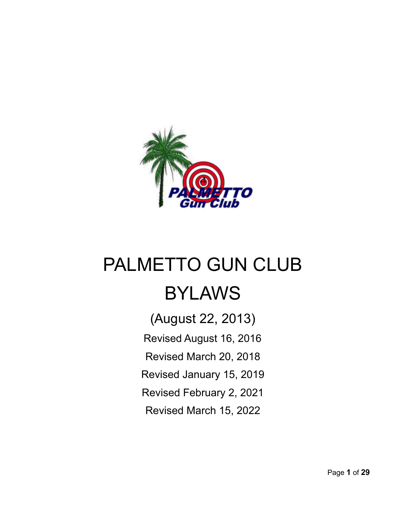

# PALMETTO GUN CLUB BYLAWS

(August 22, 2013) Revised August 16, 2016 Revised March 20, 2018 Revised January 15, 2019 Revised February 2, 2021 Revised March 15, 2022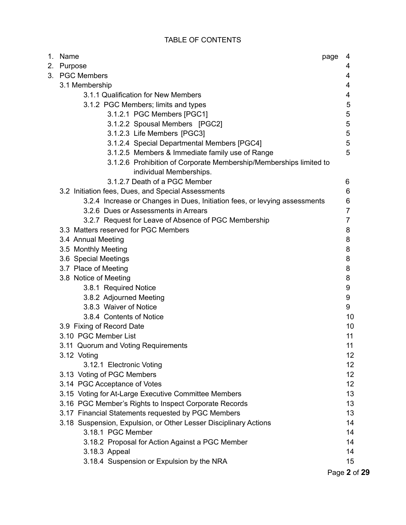#### TABLE OF CONTENTS

|    | 1. Name                                                                                       | page | 4              |
|----|-----------------------------------------------------------------------------------------------|------|----------------|
| 2. | Purpose                                                                                       |      | 4              |
|    | 3. PGC Members                                                                                |      | 4              |
|    | 3.1 Membership<br>3.1.1 Qualification for New Members                                         |      | 4<br>4         |
|    |                                                                                               |      |                |
|    | 3.1.2 PGC Members; limits and types                                                           |      | 5              |
|    | 3.1.2.1 PGC Members [PGC1]                                                                    |      | 5              |
|    | 3.1.2.2 Spousal Members [PGC2]                                                                |      | 5              |
|    | 3.1.2.3 Life Members [PGC3]                                                                   |      | 5              |
|    | 3.1.2.4 Special Departmental Members [PGC4]                                                   |      | 5              |
|    | 3.1.2.5 Members & Immediate family use of Range                                               |      | 5              |
|    | 3.1.2.6 Prohibition of Corporate Membership/Memberships limited to<br>individual Memberships. |      |                |
|    | 3.1.2.7 Death of a PGC Member                                                                 |      | 6              |
|    | 3.2 Initiation fees, Dues, and Special Assessments                                            |      | 6              |
|    | 3.2.4 Increase or Changes in Dues, Initiation fees, or levying assessments                    |      | 6              |
|    | 3.2.6 Dues or Assessments in Arrears                                                          |      | $\overline{7}$ |
|    | 3.2.7 Request for Leave of Absence of PGC Membership                                          |      | $\overline{7}$ |
|    | 3.3 Matters reserved for PGC Members                                                          |      | 8              |
|    | 3.4 Annual Meeting                                                                            |      | 8              |
|    | 3.5 Monthly Meeting                                                                           |      | 8              |
|    | 3.6 Special Meetings                                                                          |      | 8              |
|    | 3.7 Place of Meeting                                                                          |      | 8              |
|    | 3.8 Notice of Meeting                                                                         |      | 8              |
|    | 3.8.1 Required Notice                                                                         |      | 9              |
|    | 3.8.2 Adjourned Meeting                                                                       |      | 9              |
|    | 3.8.3 Waiver of Notice                                                                        |      | 9              |
|    | 3.8.4 Contents of Notice                                                                      |      | 10             |
|    | 3.9 Fixing of Record Date                                                                     |      | 10             |
|    | 3.10 PGC Member List                                                                          |      | 11             |
|    | 3.11 Quorum and Voting Requirements                                                           |      | 11             |
|    | 3.12 Voting                                                                                   |      | 12             |
|    | 3.12.1 Electronic Voting                                                                      |      | 12             |
|    | 3.13 Voting of PGC Members                                                                    |      | 12             |
|    | 3.14 PGC Acceptance of Votes                                                                  |      | 12             |
|    | 3.15 Voting for At-Large Executive Committee Members                                          |      | 13             |
|    | 3.16 PGC Member's Rights to Inspect Corporate Records                                         |      | 13             |
|    | 3.17 Financial Statements requested by PGC Members                                            |      | 13             |
|    | 3.18 Suspension, Expulsion, or Other Lesser Disciplinary Actions                              |      | 14             |
|    | 3.18.1 PGC Member                                                                             |      | 14             |
|    | 3.18.2 Proposal for Action Against a PGC Member                                               |      | 14             |
|    | 3.18.3 Appeal                                                                                 |      | 14             |
|    | 3.18.4 Suspension or Expulsion by the NRA                                                     |      | 15             |
|    |                                                                                               |      |                |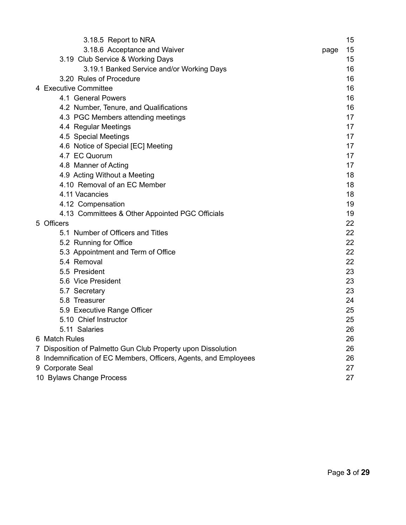| 3.18.5 Report to NRA                                             |      | 15 |
|------------------------------------------------------------------|------|----|
| 3.18.6 Acceptance and Waiver                                     | page | 15 |
| 3.19 Club Service & Working Days                                 |      | 15 |
| 3.19.1 Banked Service and/or Working Days                        |      | 16 |
| 3.20 Rules of Procedure                                          |      | 16 |
| 4 Executive Committee                                            |      | 16 |
| 4.1 General Powers                                               |      | 16 |
| 4.2 Number, Tenure, and Qualifications                           |      | 16 |
| 4.3 PGC Members attending meetings                               |      | 17 |
| 4.4 Regular Meetings                                             |      | 17 |
| 4.5 Special Meetings                                             |      | 17 |
| 4.6 Notice of Special [EC] Meeting                               |      | 17 |
| 4.7 EC Quorum                                                    |      | 17 |
| 4.8 Manner of Acting                                             |      | 17 |
| 4.9 Acting Without a Meeting                                     |      | 18 |
| 4.10 Removal of an EC Member                                     |      | 18 |
| 4.11 Vacancies                                                   |      | 18 |
| 4.12 Compensation                                                |      | 19 |
| 4.13 Committees & Other Appointed PGC Officials                  |      | 19 |
| 5 Officers                                                       |      | 22 |
| 5.1 Number of Officers and Titles                                |      | 22 |
| 5.2 Running for Office                                           |      | 22 |
| 5.3 Appointment and Term of Office                               |      | 22 |
| 5.4 Removal                                                      |      | 22 |
| 5.5 President                                                    |      | 23 |
| 5.6 Vice President                                               |      | 23 |
| 5.7 Secretary                                                    |      | 23 |
| 5.8 Treasurer                                                    |      | 24 |
| 5.9 Executive Range Officer                                      |      | 25 |
| 5.10 Chief Instructor                                            |      | 25 |
| 5.11 Salaries                                                    |      | 26 |
| 6 Match Rules                                                    |      | 26 |
| 7 Disposition of Palmetto Gun Club Property upon Dissolution     |      | 26 |
| 8 Indemnification of EC Members, Officers, Agents, and Employees |      | 26 |
| 9 Corporate Seal                                                 |      | 27 |
| 10 Bylaws Change Process                                         |      | 27 |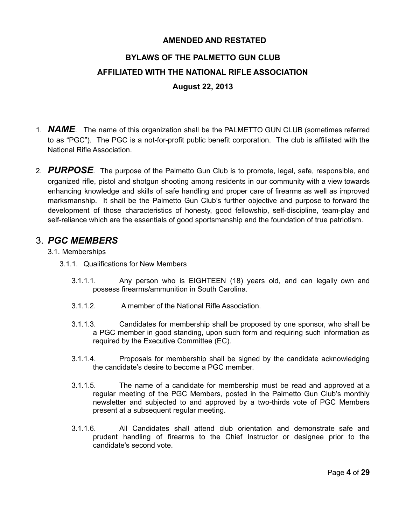#### **AMENDED AND RESTATED**

# **BYLAWS OF THE PALMETTO GUN CLUB AFFILIATED WITH THE NATIONAL RIFLE ASSOCIATION August 22, 2013**

- 1. *NAME*. The name of this organization shall be the PALMETTO GUN CLUB (sometimes referred to as "PGC"). The PGC is a not-for-profit public benefit corporation. The club is affiliated with the National Rifle Association.
- 2. *PURPOSE*. The purpose of the Palmetto Gun Club is to promote, legal, safe, responsible, and organized rifle, pistol and shotgun shooting among residents in our community with a view towards enhancing knowledge and skills of safe handling and proper care of firearms as well as improved marksmanship. It shall be the Palmetto Gun Club's further objective and purpose to forward the development of those characteristics of honesty, good fellowship, self-discipline, team-play and self-reliance which are the essentials of good sportsmanship and the foundation of true patriotism.

### 3. *PGC MEMBERS*

- 3.1. Memberships
	- 3.1.1. Qualifications for New Members
		- 3.1.1.1. Any person who is EIGHTEEN (18) years old, and can legally own and possess firearms/ammunition in South Carolina.
		- 3.1.1.2. A member of the National Rifle Association.
		- 3.1.1.3. Candidates for membership shall be proposed by one sponsor, who shall be a PGC member in good standing, upon such form and requiring such information as required by the Executive Committee (EC).
		- 3.1.1.4. Proposals for membership shall be signed by the candidate acknowledging the candidate's desire to become a PGC member.
		- 3.1.1.5. The name of a candidate for membership must be read and approved at a regular meeting of the PGC Members, posted in the Palmetto Gun Club's monthly newsletter and subjected to and approved by a two-thirds vote of PGC Members present at a subsequent regular meeting.
		- 3.1.1.6. All Candidates shall attend club orientation and demonstrate safe and prudent handling of firearms to the Chief Instructor or designee prior to the candidate's second vote.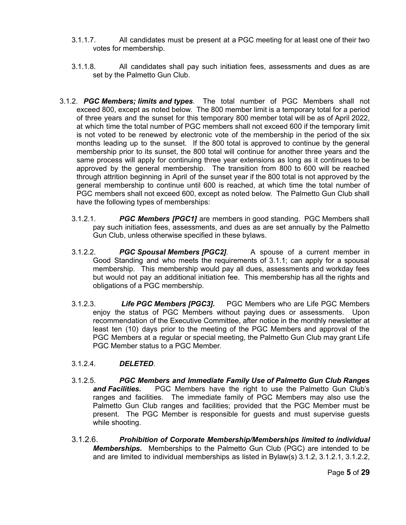- 3.1.1.7. All candidates must be present at a PGC meeting for at least one of their two votes for membership.
- 3.1.1.8. All candidates shall pay such initiation fees, assessments and dues as are set by the Palmetto Gun Club.
- 3.1.2. *PGC Members; limits and types*. The total number of PGC Members shall not exceed 800, except as noted below. The 800 member limit is a temporary total for a period of three years and the sunset for this temporary 800 member total will be as of April 2022, at which time the total number of PGC members shall not exceed 600 if the temporary limit is not voted to be renewed by electronic vote of the membership in the period of the six months leading up to the sunset. If the 800 total is approved to continue by the general membership prior to its sunset, the 800 total will continue for another three years and the same process will apply for continuing three year extensions as long as it continues to be approved by the general membership. The transition from 800 to 600 will be reached through attrition beginning in April of the sunset year if the 800 total is not approved by the general membership to continue until 600 is reached, at which time the total number of PGC members shall not exceed 600, except as noted below. The Palmetto Gun Club shall have the following types of memberships:
	- 3.1.2.1. *PGC Members [PGC1]* are members in good standing. PGC Members shall pay such initiation fees, assessments, and dues as are set annually by the Palmetto Gun Club, unless otherwise specified in these bylaws.
	- 3.1.2.2. *PGC Spousal Members [PGC2]*. A spouse of a current member in Good Standing and who meets the requirements of 3.1.1; can apply for a spousal membership. This membership would pay all dues, assessments and workday fees but would not pay an additional initiation fee. This membership has all the rights and obligations of a PGC membership.
	- 3.1.2.3. *Life PGC Members [PGC3].* PGC Members who are Life PGC Members enjoy the status of PGC Members without paying dues or assessments. Upon recommendation of the Executive Committee, after notice in the monthly newsletter at least ten (10) days prior to the meeting of the PGC Members and approval of the PGC Members at a regular or special meeting, the Palmetto Gun Club may grant Life PGC Member status to a PGC Member.

#### 3.1.2.4. *DELETED*.

- 3.1.2.5. *PGC Members and Immediate Family Use of Palmetto Gun Club Ranges and Facilities.* PGC Members have the right to use the Palmetto Gun Club's ranges and facilities. The immediate family of PGC Members may also use the Palmetto Gun Club ranges and facilities; provided that the PGC Member must be present. The PGC Member is responsible for guests and must supervise guests while shooting.
- 3.1.2.6. *Prohibition of Corporate Membership/Memberships limited to individual Memberships.* Memberships to the Palmetto Gun Club (PGC) are intended to be and are limited to individual memberships as listed in Bylaw(s) 3.1.2, 3.1.2.1, 3.1.2.2,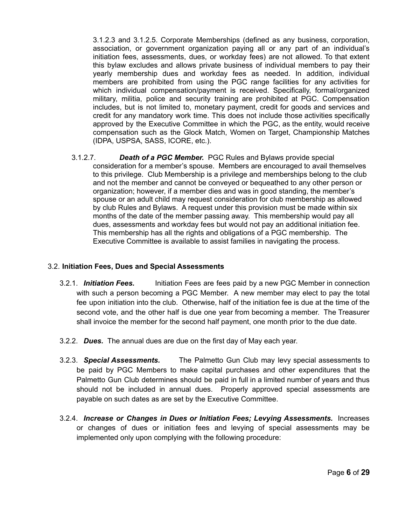3.1.2.3 and 3.1.2.5. Corporate Memberships (defined as any business, corporation, association, or government organization paying all or any part of an individual's initiation fees, assessments, dues, or workday fees) are not allowed. To that extent this bylaw excludes and allows private business of individual members to pay their yearly membership dues and workday fees as needed. In addition, individual members are prohibited from using the PGC range facilities for any activities for which individual compensation/payment is received. Specifically, formal/organized military, militia, police and security training are prohibited at PGC. Compensation includes, but is not limited to, monetary payment, credit for goods and services and credit for any mandatory work time. This does not include those activities specifically approved by the Executive Committee in which the PGC, as the entity, would receive compensation such as the Glock Match, Women on Target, Championship Matches (IDPA, USPSA, SASS, ICORE, etc.).

3.1.2.7. *Death of a PGC Member.* PGC Rules and Bylaws provide special consideration for a member's spouse. Members are encouraged to avail themselves to this privilege. Club Membership is a privilege and memberships belong to the club and not the member and cannot be conveyed or bequeathed to any other person or organization; however, if a member dies and was in good standing, the member's spouse or an adult child may request consideration for club membership as allowed by club Rules and Bylaws. A request under this provision must be made within six months of the date of the member passing away. This membership would pay all dues, assessments and workday fees but would not pay an additional initiation fee. This membership has all the rights and obligations of a PGC membership. The Executive Committee is available to assist families in navigating the process.

#### 3.2. **Initiation Fees, Dues and Special Assessments**

- 3.2.1. *Initiation Fees.* Initiation Fees are fees paid by a new PGC Member in connection with such a person becoming a PGC Member. A new member may elect to pay the total fee upon initiation into the club. Otherwise, half of the initiation fee is due at the time of the second vote, and the other half is due one year from becoming a member. The Treasurer shall invoice the member for the second half payment, one month prior to the due date.
- 3.2.2. *Dues.* The annual dues are due on the first day of May each year.
- 3.2.3. *Special Assessments.* The Palmetto Gun Club may levy special assessments to be paid by PGC Members to make capital purchases and other expenditures that the Palmetto Gun Club determines should be paid in full in a limited number of years and thus should not be included in annual dues. Properly approved special assessments are payable on such dates as are set by the Executive Committee.
- 3.2.4. *Increase or Changes in Dues or Initiation Fees; Levying Assessments.* Increases or changes of dues or initiation fees and levying of special assessments may be implemented only upon complying with the following procedure: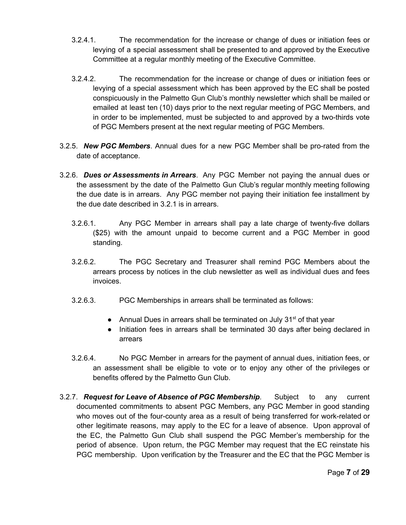- 3.2.4.1. The recommendation for the increase or change of dues or initiation fees or levying of a special assessment shall be presented to and approved by the Executive Committee at a regular monthly meeting of the Executive Committee.
- 3.2.4.2. The recommendation for the increase or change of dues or initiation fees or levying of a special assessment which has been approved by the EC shall be posted conspicuously in the Palmetto Gun Club's monthly newsletter which shall be mailed or emailed at least ten (10) days prior to the next regular meeting of PGC Members, and in order to be implemented, must be subjected to and approved by a two-thirds vote of PGC Members present at the next regular meeting of PGC Members.
- 3.2.5. *New PGC Members*. Annual dues for a new PGC Member shall be pro-rated from the date of acceptance.
- 3.2.6. *Dues or Assessments in Arrears*. Any PGC Member not paying the annual dues or the assessment by the date of the Palmetto Gun Club's regular monthly meeting following the due date is in arrears. Any PGC member not paying their initiation fee installment by the due date described in 3.2.1 is in arrears.
	- 3.2.6.1. Any PGC Member in arrears shall pay a late charge of twenty-five dollars (\$25) with the amount unpaid to become current and a PGC Member in good standing.
	- 3.2.6.2. The PGC Secretary and Treasurer shall remind PGC Members about the arrears process by notices in the club newsletter as well as individual dues and fees invoices.
	- 3.2.6.3. PGC Memberships in arrears shall be terminated as follows:
		- Annual Dues in arrears shall be terminated on July 31<sup>st</sup> of that year
		- Initiation fees in arrears shall be terminated 30 days after being declared in arrears
	- 3.2.6.4. No PGC Member in arrears for the payment of annual dues, initiation fees, or an assessment shall be eligible to vote or to enjoy any other of the privileges or benefits offered by the Palmetto Gun Club.
- 3.2.7. *Request for Leave of Absence of PGC Membership*. Subject to any current documented commitments to absent PGC Members, any PGC Member in good standing who moves out of the four-county area as a result of being transferred for work-related or other legitimate reasons, may apply to the EC for a leave of absence. Upon approval of the EC, the Palmetto Gun Club shall suspend the PGC Member's membership for the period of absence. Upon return, the PGC Member may request that the EC reinstate his PGC membership. Upon verification by the Treasurer and the EC that the PGC Member is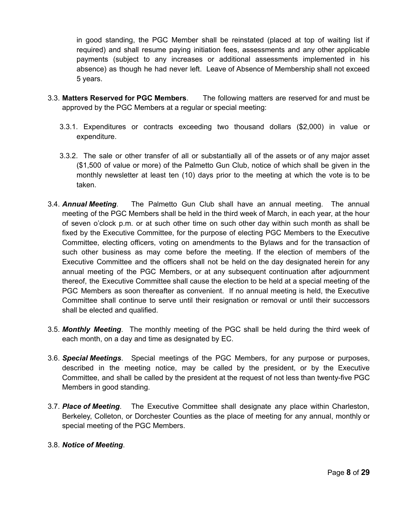in good standing, the PGC Member shall be reinstated (placed at top of waiting list if required) and shall resume paying initiation fees, assessments and any other applicable payments (subject to any increases or additional assessments implemented in his absence) as though he had never left. Leave of Absence of Membership shall not exceed 5 years.

- 3.3. **Matters Reserved for PGC Members**. The following matters are reserved for and must be approved by the PGC Members at a regular or special meeting:
	- 3.3.1. Expenditures or contracts exceeding two thousand dollars (\$2,000) in value or expenditure.
	- 3.3.2. The sale or other transfer of all or substantially all of the assets or of any major asset (\$1,500 of value or more) of the Palmetto Gun Club, notice of which shall be given in the monthly newsletter at least ten (10) days prior to the meeting at which the vote is to be taken.
- 3.4. *Annual Meeting*. The Palmetto Gun Club shall have an annual meeting. The annual meeting of the PGC Members shall be held in the third week of March, in each year, at the hour of seven o'clock p.m. or at such other time on such other day within such month as shall be fixed by the Executive Committee, for the purpose of electing PGC Members to the Executive Committee, electing officers, voting on amendments to the Bylaws and for the transaction of such other business as may come before the meeting. If the election of members of the Executive Committee and the officers shall not be held on the day designated herein for any annual meeting of the PGC Members, or at any subsequent continuation after adjournment thereof, the Executive Committee shall cause the election to be held at a special meeting of the PGC Members as soon thereafter as convenient. If no annual meeting is held, the Executive Committee shall continue to serve until their resignation or removal or until their successors shall be elected and qualified.
- 3.5. *Monthly Meeting*. The monthly meeting of the PGC shall be held during the third week of each month, on a day and time as designated by EC.
- 3.6. *Special Meetings*. Special meetings of the PGC Members, for any purpose or purposes, described in the meeting notice, may be called by the president, or by the Executive Committee, and shall be called by the president at the request of not less than twenty-five PGC Members in good standing.
- 3.7. *Place of Meeting*. The Executive Committee shall designate any place within Charleston, Berkeley, Colleton, or Dorchester Counties as the place of meeting for any annual, monthly or special meeting of the PGC Members.

#### 3.8. *Notice of Meeting*.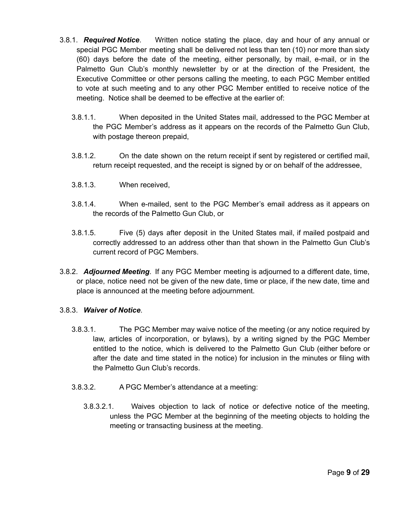- 3.8.1. *Required Notice*. Written notice stating the place, day and hour of any annual or special PGC Member meeting shall be delivered not less than ten (10) nor more than sixty (60) days before the date of the meeting, either personally, by mail, e-mail, or in the Palmetto Gun Club's monthly newsletter by or at the direction of the President, the Executive Committee or other persons calling the meeting, to each PGC Member entitled to vote at such meeting and to any other PGC Member entitled to receive notice of the meeting. Notice shall be deemed to be effective at the earlier of:
	- 3.8.1.1. When deposited in the United States mail, addressed to the PGC Member at the PGC Member's address as it appears on the records of the Palmetto Gun Club, with postage thereon prepaid,
	- 3.8.1.2. On the date shown on the return receipt if sent by registered or certified mail, return receipt requested, and the receipt is signed by or on behalf of the addressee,
	- 3.8.1.3. When received,
	- 3.8.1.4. When e-mailed, sent to the PGC Member's email address as it appears on the records of the Palmetto Gun Club, or
	- 3.8.1.5. Five (5) days after deposit in the United States mail, if mailed postpaid and correctly addressed to an address other than that shown in the Palmetto Gun Club's current record of PGC Members.
- 3.8.2. *Adjourned Meeting*. If any PGC Member meeting is adjourned to a different date, time, or place, notice need not be given of the new date, time or place, if the new date, time and place is announced at the meeting before adjournment.

#### 3.8.3. *Waiver of Notice*.

- 3.8.3.1. The PGC Member may waive notice of the meeting (or any notice required by law, articles of incorporation, or bylaws), by a writing signed by the PGC Member entitled to the notice, which is delivered to the Palmetto Gun Club (either before or after the date and time stated in the notice) for inclusion in the minutes or filing with the Palmetto Gun Club's records.
- 3.8.3.2. A PGC Member's attendance at a meeting:
	- 3.8.3.2.1. Waives objection to lack of notice or defective notice of the meeting, unless the PGC Member at the beginning of the meeting objects to holding the meeting or transacting business at the meeting.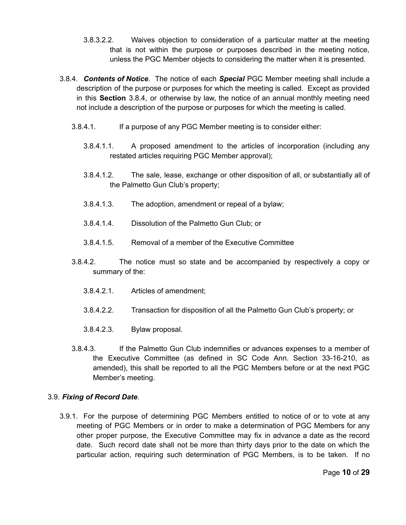- 3.8.3.2.2. Waives objection to consideration of a particular matter at the meeting that is not within the purpose or purposes described in the meeting notice, unless the PGC Member objects to considering the matter when it is presented.
- 3.8.4. *Contents of Notice*. The notice of each *Special* PGC Member meeting shall include a description of the purpose or purposes for which the meeting is called. Except as provided in this **Section** 3.8.4, or otherwise by law, the notice of an annual monthly meeting need not include a description of the purpose or purposes for which the meeting is called.
	- 3.8.4.1. If a purpose of any PGC Member meeting is to consider either:
		- 3.8.4.1.1. A proposed amendment to the articles of incorporation (including any restated articles requiring PGC Member approval);
		- 3.8.4.1.2. The sale, lease, exchange or other disposition of all, or substantially all of the Palmetto Gun Club's property;
		- 3.8.4.1.3. The adoption, amendment or repeal of a bylaw;
		- 3.8.4.1.4. Dissolution of the Palmetto Gun Club; or
		- 3.8.4.1.5. Removal of a member of the Executive Committee
	- 3.8.4.2. The notice must so state and be accompanied by respectively a copy or summary of the:
		- 3.8.4.2.1. Articles of amendment;
		- 3.8.4.2.2. Transaction for disposition of all the Palmetto Gun Club's property; or
		- 3.8.4.2.3. Bylaw proposal.
	- 3.8.4.3. If the Palmetto Gun Club indemnifies or advances expenses to a member of the Executive Committee (as defined in SC Code Ann. Section 33-16-210, as amended), this shall be reported to all the PGC Members before or at the next PGC Member's meeting.

#### 3.9. *Fixing of Record Date*.

3.9.1. For the purpose of determining PGC Members entitled to notice of or to vote at any meeting of PGC Members or in order to make a determination of PGC Members for any other proper purpose, the Executive Committee may fix in advance a date as the record date. Such record date shall not be more than thirty days prior to the date on which the particular action, requiring such determination of PGC Members, is to be taken. If no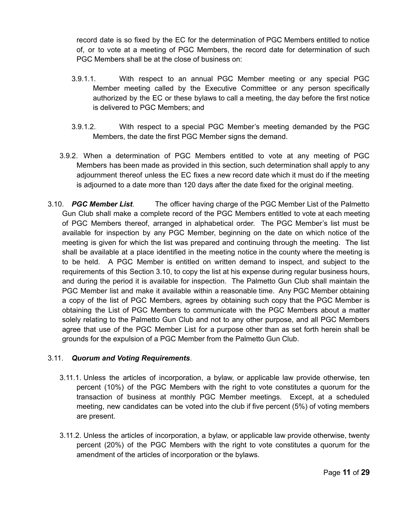record date is so fixed by the EC for the determination of PGC Members entitled to notice of, or to vote at a meeting of PGC Members, the record date for determination of such PGC Members shall be at the close of business on:

- 3.9.1.1. With respect to an annual PGC Member meeting or any special PGC Member meeting called by the Executive Committee or any person specifically authorized by the EC or these bylaws to call a meeting, the day before the first notice is delivered to PGC Members; and
- 3.9.1.2. With respect to a special PGC Member's meeting demanded by the PGC Members, the date the first PGC Member signs the demand.
- 3.9.2. When a determination of PGC Members entitled to vote at any meeting of PGC Members has been made as provided in this section, such determination shall apply to any adjournment thereof unless the EC fixes a new record date which it must do if the meeting is adjourned to a date more than 120 days after the date fixed for the original meeting.
- 3.10. *PGC Member List*. The officer having charge of the PGC Member List of the Palmetto Gun Club shall make a complete record of the PGC Members entitled to vote at each meeting of PGC Members thereof, arranged in alphabetical order. The PGC Member's list must be available for inspection by any PGC Member, beginning on the date on which notice of the meeting is given for which the list was prepared and continuing through the meeting. The list shall be available at a place identified in the meeting notice in the county where the meeting is to be held. A PGC Member is entitled on written demand to inspect, and subject to the requirements of this Section 3.10, to copy the list at his expense during regular business hours, and during the period it is available for inspection. The Palmetto Gun Club shall maintain the PGC Member list and make it available within a reasonable time. Any PGC Member obtaining a copy of the list of PGC Members, agrees by obtaining such copy that the PGC Member is obtaining the List of PGC Members to communicate with the PGC Members about a matter solely relating to the Palmetto Gun Club and not to any other purpose, and all PGC Members agree that use of the PGC Member List for a purpose other than as set forth herein shall be grounds for the expulsion of a PGC Member from the Palmetto Gun Club.

#### 3.11. *Quorum and Voting Requirements*.

- 3.11.1. Unless the articles of incorporation, a bylaw, or applicable law provide otherwise, ten percent (10%) of the PGC Members with the right to vote constitutes a quorum for the transaction of business at monthly PGC Member meetings. Except, at a scheduled meeting, new candidates can be voted into the club if five percent (5%) of voting members are present.
- 3.11.2. Unless the articles of incorporation, a bylaw, or applicable law provide otherwise, twenty percent (20%) of the PGC Members with the right to vote constitutes a quorum for the amendment of the articles of incorporation or the bylaws.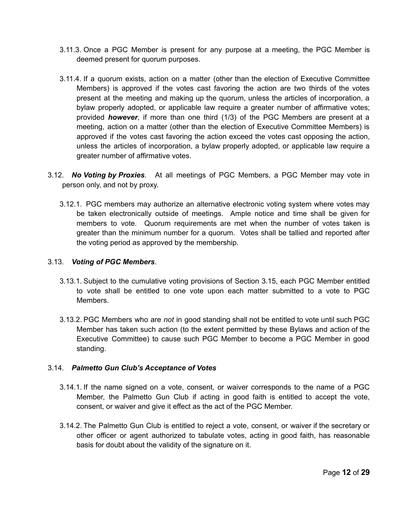- 3.11.3. Once a PGC Member is present for any purpose at a meeting, the PGC Member is deemed present for quorum purposes.
- 3.11.4. If a quorum exists, action on a matter (other than the election of Executive Committee Members) is approved if the votes cast favoring the action are two thirds of the votes present at the meeting and making up the quorum, unless the articles of incorporation, a bylaw properly adopted, or applicable law require a greater number of affirmative votes; provided *however*, if more than one third (1/3) of the PGC Members are present at a meeting, action on a matter (other than the election of Executive Committee Members) is approved if the votes cast favoring the action exceed the votes cast opposing the action, unless the articles of incorporation, a bylaw properly adopted, or applicable law require a greater number of affirmative votes.
- 3.12. *No Voting by Proxies*. At all meetings of PGC Members, a PGC Member may vote in person only, and not by proxy.
	- 3.12.1. PGC members may authorize an alternative electronic voting system where votes may be taken electronically outside of meetings. Ample notice and time shall be given for members to vote. Quorum requirements are met when the number of votes taken is greater than the minimum number for a quorum. Votes shall be tallied and reported after the voting period as approved by the membership.

#### 3.13. *Voting of PGC Members*.

- 3.13.1. Subject to the cumulative voting provisions of Section 3.15, each PGC Member entitled to vote shall be entitled to one vote upon each matter submitted to a vote to PGC Members.
- 3.13.2. PGC Members who are *not* in good standing shall not be entitled to vote until such PGC Member has taken such action (to the extent permitted by these Bylaws and action of the Executive Committee) to cause such PGC Member to become a PGC Member in good standing.

#### 3.14. *Palmetto Gun Club's Acceptance of Votes*

- 3.14.1. If the name signed on a vote, consent, or waiver corresponds to the name of a PGC Member, the Palmetto Gun Club if acting in good faith is entitled to accept the vote, consent, or waiver and give it effect as the act of the PGC Member.
- 3.14.2. The Palmetto Gun Club is entitled to reject a vote, consent, or waiver if the secretary or other officer or agent authorized to tabulate votes, acting in good faith, has reasonable basis for doubt about the validity of the signature on it.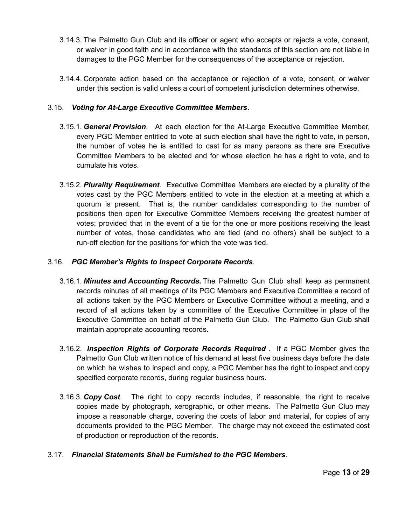- 3.14.3. The Palmetto Gun Club and its officer or agent who accepts or rejects a vote, consent, or waiver in good faith and in accordance with the standards of this section are not liable in damages to the PGC Member for the consequences of the acceptance or rejection.
- 3.14.4. Corporate action based on the acceptance or rejection of a vote, consent, or waiver under this section is valid unless a court of competent jurisdiction determines otherwise.

#### 3.15. *Voting for At-Large Executive Committee Members*.

- 3.15.1. *General Provision*. At each election for the At-Large Executive Committee Member, every PGC Member entitled to vote at such election shall have the right to vote, in person, the number of votes he is entitled to cast for as many persons as there are Executive Committee Members to be elected and for whose election he has a right to vote, and to cumulate his votes.
- 3.15.2. *Plurality Requirement*. Executive Committee Members are elected by a plurality of the votes cast by the PGC Members entitled to vote in the election at a meeting at which a quorum is present. That is, the number candidates corresponding to the number of positions then open for Executive Committee Members receiving the greatest number of votes; provided that in the event of a tie for the one or more positions receiving the least number of votes, those candidates who are tied (and no others) shall be subject to a run-off election for the positions for which the vote was tied.

#### 3.16. *PGC Member's Rights to Inspect Corporate Records*.

- 3.16.1. *Minutes and Accounting Records.* The Palmetto Gun Club shall keep as permanent records minutes of all meetings of its PGC Members and Executive Committee a record of all actions taken by the PGC Members or Executive Committee without a meeting, and a record of all actions taken by a committee of the Executive Committee in place of the Executive Committee on behalf of the Palmetto Gun Club. The Palmetto Gun Club shall maintain appropriate accounting records.
- 3.16.2. *Inspection Rights of Corporate Records Required* . If a PGC Member gives the Palmetto Gun Club written notice of his demand at least five business days before the date on which he wishes to inspect and copy, a PGC Member has the right to inspect and copy specified corporate records, during regular business hours.
- 3.16.3. *Copy Cost*. The right to copy records includes, if reasonable, the right to receive copies made by photograph, xerographic, or other means. The Palmetto Gun Club may impose a reasonable charge, covering the costs of labor and material, for copies of any documents provided to the PGC Member. The charge may not exceed the estimated cost of production or reproduction of the records.

#### 3.17. *Financial Statements Shall be Furnished to the PGC Members*.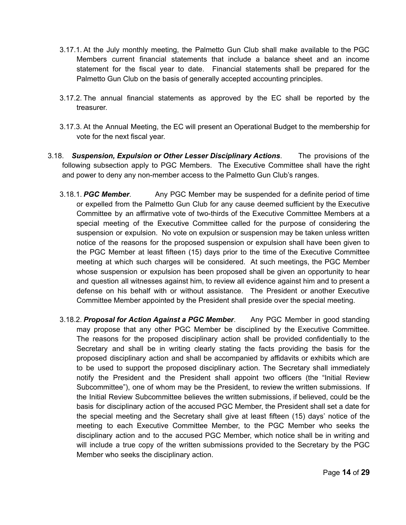- 3.17.1. At the July monthly meeting, the Palmetto Gun Club shall make available to the PGC Members current financial statements that include a balance sheet and an income statement for the fiscal year to date. Financial statements shall be prepared for the Palmetto Gun Club on the basis of generally accepted accounting principles.
- 3.17.2. The annual financial statements as approved by the EC shall be reported by the treasurer.
- 3.17.3. At the Annual Meeting, the EC will present an Operational Budget to the membership for vote for the next fiscal year.
- 3.18. *Suspension, Expulsion or Other Lesser Disciplinary Actions*. The provisions of the following subsection apply to PGC Members. The Executive Committee shall have the right and power to deny any non-member access to the Palmetto Gun Club's ranges.
	- 3.18.1. *PGC Member*. Any PGC Member may be suspended for a definite period of time or expelled from the Palmetto Gun Club for any cause deemed sufficient by the Executive Committee by an affirmative vote of two-thirds of the Executive Committee Members at a special meeting of the Executive Committee called for the purpose of considering the suspension or expulsion. No vote on expulsion or suspension may be taken unless written notice of the reasons for the proposed suspension or expulsion shall have been given to the PGC Member at least fifteen (15) days prior to the time of the Executive Committee meeting at which such charges will be considered. At such meetings, the PGC Member whose suspension or expulsion has been proposed shall be given an opportunity to hear and question all witnesses against him, to review all evidence against him and to present a defense on his behalf with or without assistance. The President or another Executive Committee Member appointed by the President shall preside over the special meeting.
	- 3.18.2. *Proposal for Action Against a PGC Member*. Any PGC Member in good standing may propose that any other PGC Member be disciplined by the Executive Committee. The reasons for the proposed disciplinary action shall be provided confidentially to the Secretary and shall be in writing clearly stating the facts providing the basis for the proposed disciplinary action and shall be accompanied by affidavits or exhibits which are to be used to support the proposed disciplinary action. The Secretary shall immediately notify the President and the President shall appoint two officers (the "Initial Review Subcommittee"), one of whom may be the President, to review the written submissions. If the Initial Review Subcommittee believes the written submissions, if believed, could be the basis for disciplinary action of the accused PGC Member, the President shall set a date for the special meeting and the Secretary shall give at least fifteen (15) days' notice of the meeting to each Executive Committee Member, to the PGC Member who seeks the disciplinary action and to the accused PGC Member, which notice shall be in writing and will include a true copy of the written submissions provided to the Secretary by the PGC Member who seeks the disciplinary action.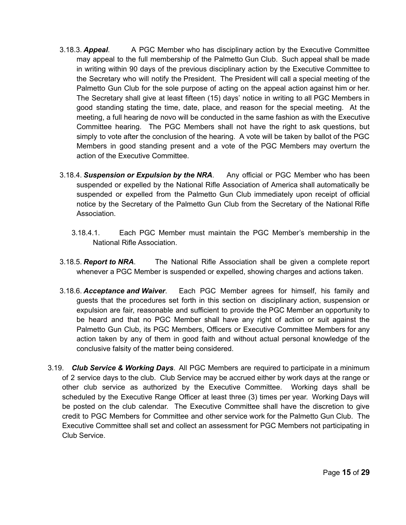- 3.18.3. *Appeal*. A PGC Member who has disciplinary action by the Executive Committee may appeal to the full membership of the Palmetto Gun Club. Such appeal shall be made in writing within 90 days of the previous disciplinary action by the Executive Committee to the Secretary who will notify the President. The President will call a special meeting of the Palmetto Gun Club for the sole purpose of acting on the appeal action against him or her. The Secretary shall give at least fifteen (15) days' notice in writing to all PGC Members in good standing stating the time, date, place, and reason for the special meeting. At the meeting, a full hearing de novo will be conducted in the same fashion as with the Executive Committee hearing. The PGC Members shall not have the right to ask questions, but simply to vote after the conclusion of the hearing. A vote will be taken by ballot of the PGC Members in good standing present and a vote of the PGC Members may overturn the action of the Executive Committee.
- 3.18.4. *Suspension or Expulsion by the NRA*. Any official or PGC Member who has been suspended or expelled by the National Rifle Association of America shall automatically be suspended or expelled from the Palmetto Gun Club immediately upon receipt of official notice by the Secretary of the Palmetto Gun Club from the Secretary of the National Rifle Association.
	- 3.18.4.1. Each PGC Member must maintain the PGC Member's membership in the National Rifle Association.
- 3.18.5. *Report to NRA*. The National Rifle Association shall be given a complete report whenever a PGC Member is suspended or expelled, showing charges and actions taken.
- 3.18.6. *Acceptance and Waiver*. Each PGC Member agrees for himself, his family and guests that the procedures set forth in this section on disciplinary action, suspension or expulsion are fair, reasonable and sufficient to provide the PGC Member an opportunity to be heard and that no PGC Member shall have any right of action or suit against the Palmetto Gun Club, its PGC Members, Officers or Executive Committee Members for any action taken by any of them in good faith and without actual personal knowledge of the conclusive falsity of the matter being considered.
- 3.19. *Club Service & Working Days*. All PGC Members are required to participate in a minimum of 2 service days to the club. Club Service may be accrued either by work days at the range or other club service as authorized by the Executive Committee. Working days shall be scheduled by the Executive Range Officer at least three (3) times per year. Working Days will be posted on the club calendar. The Executive Committee shall have the discretion to give credit to PGC Members for Committee and other service work for the Palmetto Gun Club. The Executive Committee shall set and collect an assessment for PGC Members not participating in Club Service.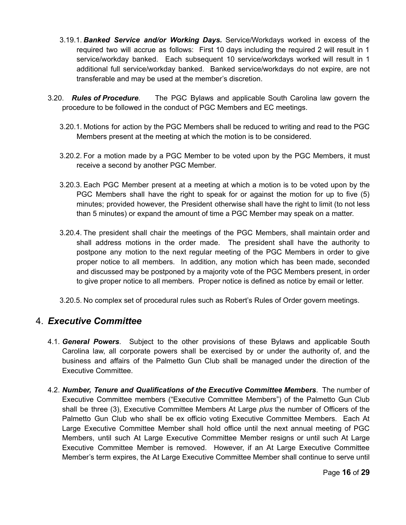- 3.19.1. *Banked Service and/or Working Days.* Service/Workdays worked in excess of the required two will accrue as follows: First 10 days including the required 2 will result in 1 service/workday banked. Each subsequent 10 service/workdays worked will result in 1 additional full service/workday banked. Banked service/workdays do not expire, are not transferable and may be used at the member's discretion.
- 3.20. *Rules of Procedure*. The PGC Bylaws and applicable South Carolina law govern the procedure to be followed in the conduct of PGC Members and EC meetings.
	- 3.20.1. Motions for action by the PGC Members shall be reduced to writing and read to the PGC Members present at the meeting at which the motion is to be considered.
	- 3.20.2. For a motion made by a PGC Member to be voted upon by the PGC Members, it must receive a second by another PGC Member.
	- 3.20.3. Each PGC Member present at a meeting at which a motion is to be voted upon by the PGC Members shall have the right to speak for or against the motion for up to five (5) minutes; provided however, the President otherwise shall have the right to limit (to not less than 5 minutes) or expand the amount of time a PGC Member may speak on a matter.
	- 3.20.4. The president shall chair the meetings of the PGC Members, shall maintain order and shall address motions in the order made. The president shall have the authority to postpone any motion to the next regular meeting of the PGC Members in order to give proper notice to all members. In addition, any motion which has been made, seconded and discussed may be postponed by a majority vote of the PGC Members present, in order to give proper notice to all members. Proper notice is defined as notice by email or letter.
	- 3.20.5. No complex set of procedural rules such as Robert's Rules of Order govern meetings.

## 4. *Executive Committee*

- 4.1. *General Powers*. Subject to the other provisions of these Bylaws and applicable South Carolina law, all corporate powers shall be exercised by or under the authority of, and the business and affairs of the Palmetto Gun Club shall be managed under the direction of the Executive Committee.
- 4.2. *Number, Tenure and Qualifications of the Executive Committee Members*. The number of Executive Committee members ("Executive Committee Members") of the Palmetto Gun Club shall be three (3), Executive Committee Members At Large *plus* the number of Officers of the Palmetto Gun Club who shall be ex officio voting Executive Committee Members. Each At Large Executive Committee Member shall hold office until the next annual meeting of PGC Members, until such At Large Executive Committee Member resigns or until such At Large Executive Committee Member is removed. However, if an At Large Executive Committee Member's term expires, the At Large Executive Committee Member shall continue to serve until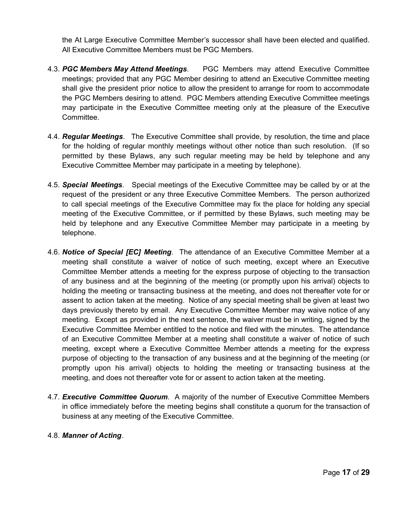the At Large Executive Committee Member's successor shall have been elected and qualified. All Executive Committee Members must be PGC Members.

- 4.3. *PGC Members May Attend Meetings*. PGC Members may attend Executive Committee meetings; provided that any PGC Member desiring to attend an Executive Committee meeting shall give the president prior notice to allow the president to arrange for room to accommodate the PGC Members desiring to attend. PGC Members attending Executive Committee meetings may participate in the Executive Committee meeting only at the pleasure of the Executive Committee.
- 4.4. *Regular Meetings*. The Executive Committee shall provide, by resolution, the time and place for the holding of regular monthly meetings without other notice than such resolution. (If so permitted by these Bylaws, any such regular meeting may be held by telephone and any Executive Committee Member may participate in a meeting by telephone).
- 4.5. *Special Meetings*. Special meetings of the Executive Committee may be called by or at the request of the president or any three Executive Committee Members. The person authorized to call special meetings of the Executive Committee may fix the place for holding any special meeting of the Executive Committee, or if permitted by these Bylaws, such meeting may be held by telephone and any Executive Committee Member may participate in a meeting by telephone.
- 4.6. *Notice of Special [EC] Meeting*. The attendance of an Executive Committee Member at a meeting shall constitute a waiver of notice of such meeting, except where an Executive Committee Member attends a meeting for the express purpose of objecting to the transaction of any business and at the beginning of the meeting (or promptly upon his arrival) objects to holding the meeting or transacting business at the meeting, and does not thereafter vote for or assent to action taken at the meeting. Notice of any special meeting shall be given at least two days previously thereto by email. Any Executive Committee Member may waive notice of any meeting. Except as provided in the next sentence, the waiver must be in writing, signed by the Executive Committee Member entitled to the notice and filed with the minutes. The attendance of an Executive Committee Member at a meeting shall constitute a waiver of notice of such meeting, except where a Executive Committee Member attends a meeting for the express purpose of objecting to the transaction of any business and at the beginning of the meeting (or promptly upon his arrival) objects to holding the meeting or transacting business at the meeting, and does not thereafter vote for or assent to action taken at the meeting.
- 4.7. *Executive Committee Quorum*. A majority of the number of Executive Committee Members in office immediately before the meeting begins shall constitute a quorum for the transaction of business at any meeting of the Executive Committee.

#### 4.8. *Manner of Acting*.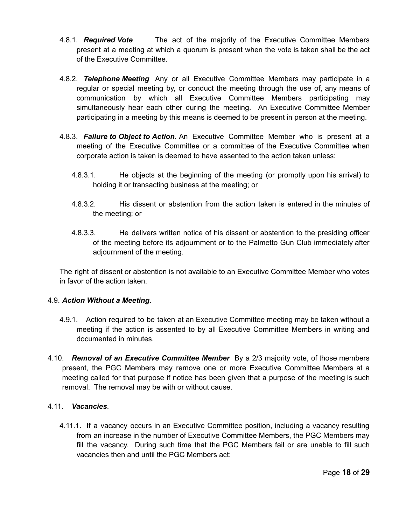- 4.8.1. *Required Vote* The act of the majority of the Executive Committee Members present at a meeting at which a quorum is present when the vote is taken shall be the act of the Executive Committee.
- 4.8.2. *Telephone Meeting* Any or all Executive Committee Members may participate in a regular or special meeting by, or conduct the meeting through the use of, any means of communication by which all Executive Committee Members participating may simultaneously hear each other during the meeting. An Executive Committee Member participating in a meeting by this means is deemed to be present in person at the meeting.
- 4.8.3. *Failure to Object to Action*. An Executive Committee Member who is present at a meeting of the Executive Committee or a committee of the Executive Committee when corporate action is taken is deemed to have assented to the action taken unless:
	- 4.8.3.1. He objects at the beginning of the meeting (or promptly upon his arrival) to holding it or transacting business at the meeting; or
	- 4.8.3.2. His dissent or abstention from the action taken is entered in the minutes of the meeting; or
	- 4.8.3.3. He delivers written notice of his dissent or abstention to the presiding officer of the meeting before its adjournment or to the Palmetto Gun Club immediately after adjournment of the meeting.

The right of dissent or abstention is not available to an Executive Committee Member who votes in favor of the action taken.

#### 4.9. *Action Without a Meeting*.

- 4.9.1. Action required to be taken at an Executive Committee meeting may be taken without a meeting if the action is assented to by all Executive Committee Members in writing and documented in minutes.
- 4.10. *Removal of an Executive Committee Member* By a 2/3 majority vote, of those members present, the PGC Members may remove one or more Executive Committee Members at a meeting called for that purpose if notice has been given that a purpose of the meeting is such removal. The removal may be with or without cause.

#### 4.11. *Vacancies*.

4.11.1. If a vacancy occurs in an Executive Committee position, including a vacancy resulting from an increase in the number of Executive Committee Members, the PGC Members may fill the vacancy. During such time that the PGC Members fail or are unable to fill such vacancies then and until the PGC Members act: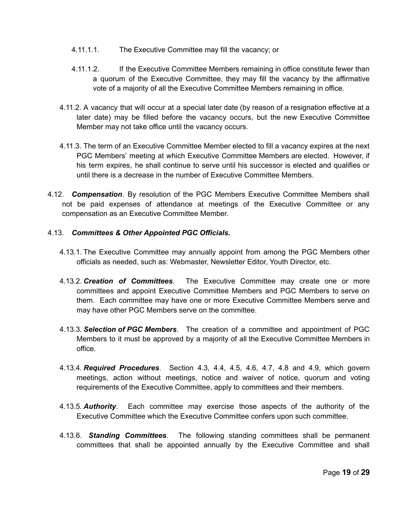- 4.11.1.1. The Executive Committee may fill the vacancy; or
- 4.11.1.2. If the Executive Committee Members remaining in office constitute fewer than a quorum of the Executive Committee, they may fill the vacancy by the affirmative vote of a majority of all the Executive Committee Members remaining in office.
- 4.11.2. A vacancy that will occur at a special later date (by reason of a resignation effective at a later date) may be filled before the vacancy occurs, but the new Executive Committee Member may not take office until the vacancy occurs.
- 4.11.3. The term of an Executive Committee Member elected to fill a vacancy expires at the next PGC Members' meeting at which Executive Committee Members are elected. However, if his term expires, he shall continue to serve until his successor is elected and qualifies or until there is a decrease in the number of Executive Committee Members.
- 4.12. *Compensation*. By resolution of the PGC Members Executive Committee Members shall not be paid expenses of attendance at meetings of the Executive Committee or any compensation as an Executive Committee Member.

#### 4.13. *Committees & Other Appointed PGC Officials.*

- 4.13.1. The Executive Committee may annually appoint from among the PGC Members other officials as needed, such as: Webmaster, Newsletter Editor, Youth Director, etc.
- 4.13.2. *Creation of Committees*. The Executive Committee may create one or more committees and appoint Executive Committee Members and PGC Members to serve on them. Each committee may have one or more Executive Committee Members serve and may have other PGC Members serve on the committee.
- 4.13.3. *Selection of PGC Members*. The creation of a committee and appointment of PGC Members to it must be approved by a majority of all the Executive Committee Members in office.
- 4.13.4. *Required Procedures*. Section 4.3, 4.4, 4.5, 4.6, 4.7, 4.8 and 4.9, which govern meetings, action without meetings, notice and waiver of notice, quorum and voting requirements of the Executive Committee, apply to committees and their members.
- 4.13.5. *Authority*. Each committee may exercise those aspects of the authority of the Executive Committee which the Executive Committee confers upon such committee.
- 4.13.6. *Standing Committees*. The following standing committees shall be permanent committees that shall be appointed annually by the Executive Committee and shall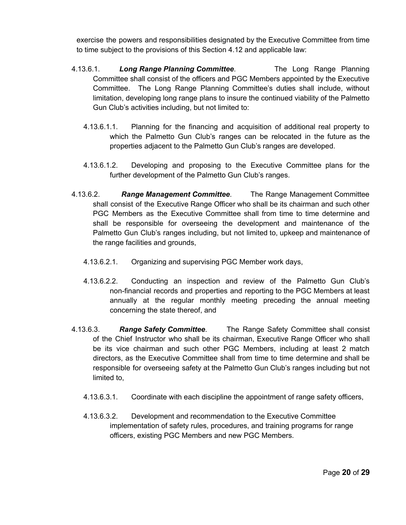exercise the powers and responsibilities designated by the Executive Committee from time to time subject to the provisions of this Section 4.12 and applicable law:

- 4.13.6.1. *Long Range Planning Committee*. The Long Range Planning Committee shall consist of the officers and PGC Members appointed by the Executive Committee. The Long Range Planning Committee's duties shall include, without limitation, developing long range plans to insure the continued viability of the Palmetto Gun Club's activities including, but not limited to:
	- 4.13.6.1.1. Planning for the financing and acquisition of additional real property to which the Palmetto Gun Club's ranges can be relocated in the future as the properties adjacent to the Palmetto Gun Club's ranges are developed.
	- 4.13.6.1.2. Developing and proposing to the Executive Committee plans for the further development of the Palmetto Gun Club's ranges.
- 4.13.6.2. *Range Management Committee*. The Range Management Committee shall consist of the Executive Range Officer who shall be its chairman and such other PGC Members as the Executive Committee shall from time to time determine and shall be responsible for overseeing the development and maintenance of the Palmetto Gun Club's ranges including, but not limited to, upkeep and maintenance of the range facilities and grounds,
	- 4.13.6.2.1. Organizing and supervising PGC Member work days,
	- 4.13.6.2.2. Conducting an inspection and review of the Palmetto Gun Club's non-financial records and properties and reporting to the PGC Members at least annually at the regular monthly meeting preceding the annual meeting concerning the state thereof, and
- 4.13.6.3. *Range Safety Committee*. The Range Safety Committee shall consist of the Chief Instructor who shall be its chairman, Executive Range Officer who shall be its vice chairman and such other PGC Members, including at least 2 match directors, as the Executive Committee shall from time to time determine and shall be responsible for overseeing safety at the Palmetto Gun Club's ranges including but not limited to,
	- 4.13.6.3.1. Coordinate with each discipline the appointment of range safety officers,
	- 4.13.6.3.2. Development and recommendation to the Executive Committee implementation of safety rules, procedures, and training programs for range officers, existing PGC Members and new PGC Members.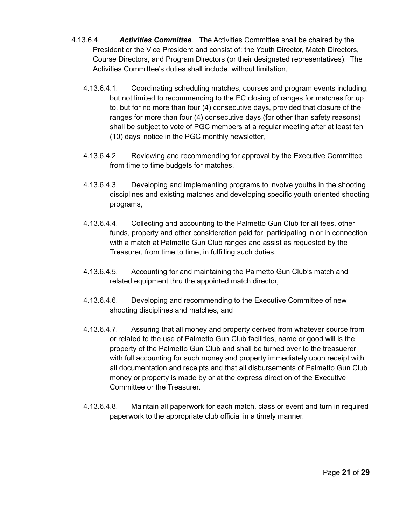- 4.13.6.4. *Activities Committee*. The Activities Committee shall be chaired by the President or the Vice President and consist of; the Youth Director, Match Directors, Course Directors, and Program Directors (or their designated representatives). The Activities Committee's duties shall include, without limitation,
	- 4.13.6.4.1. Coordinating scheduling matches, courses and program events including, but not limited to recommending to the EC closing of ranges for matches for up to, but for no more than four (4) consecutive days, provided that closure of the ranges for more than four (4) consecutive days (for other than safety reasons) shall be subject to vote of PGC members at a regular meeting after at least ten (10) days' notice in the PGC monthly newsletter,
	- 4.13.6.4.2. Reviewing and recommending for approval by the Executive Committee from time to time budgets for matches,
	- 4.13.6.4.3. Developing and implementing programs to involve youths in the shooting disciplines and existing matches and developing specific youth oriented shooting programs,
	- 4.13.6.4.4. Collecting and accounting to the Palmetto Gun Club for all fees, other funds, property and other consideration paid for participating in or in connection with a match at Palmetto Gun Club ranges and assist as requested by the Treasurer, from time to time, in fulfilling such duties,
	- 4.13.6.4.5. Accounting for and maintaining the Palmetto Gun Club's match and related equipment thru the appointed match director,
	- 4.13.6.4.6. Developing and recommending to the Executive Committee of new shooting disciplines and matches, and
	- 4.13.6.4.7. Assuring that all money and property derived from whatever source from or related to the use of Palmetto Gun Club facilities, name or good will is the property of the Palmetto Gun Club and shall be turned over to the treasuerer with full accounting for such money and property immediately upon receipt with all documentation and receipts and that all disbursements of Palmetto Gun Club money or property is made by or at the express direction of the Executive Committee or the Treasurer.
	- 4.13.6.4.8. Maintain all paperwork for each match, class or event and turn in required paperwork to the appropriate club official in a timely manner.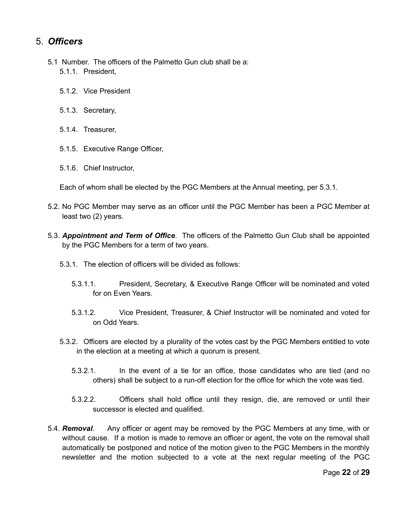## 5. *Officers*

- 5.1 Number. The officers of the Palmetto Gun club shall be a: 5.1.1. President,
	- 5.1.2. Vice President
	- 5.1.3. Secretary,
	- 5.1.4. Treasurer,
	- 5.1.5. Executive Range Officer,
	- 5.1.6. Chief Instructor,

Each of whom shall be elected by the PGC Members at the Annual meeting, per 5.3.1.

- 5.2. No PGC Member may serve as an officer until the PGC Member has been a PGC Member at least two (2) years.
- 5.3. *Appointment and Term of Office*. The officers of the Palmetto Gun Club shall be appointed by the PGC Members for a term of two years.
	- 5.3.1. The election of officers will be divided as follows:
		- 5.3.1.1. President, Secretary, & Executive Range Officer will be nominated and voted for on Even Years.
		- 5.3.1.2. Vice President, Treasurer, & Chief Instructor will be nominated and voted for on Odd Years.
	- 5.3.2. Officers are elected by a plurality of the votes cast by the PGC Members entitled to vote in the election at a meeting at which a quorum is present.
		- 5.3.2.1. In the event of a tie for an office, those candidates who are tied (and no others) shall be subject to a run-off election for the office for which the vote was tied.
		- 5.3.2.2. Officers shall hold office until they resign, die, are removed or until their successor is elected and qualified.
- 5.4. *Removal*. Any officer or agent may be removed by the PGC Members at any time, with or without cause. If a motion is made to remove an officer or agent, the vote on the removal shall automatically be postponed and notice of the motion given to the PGC Members in the monthly newsletter and the motion subjected to a vote at the next regular meeting of the PGC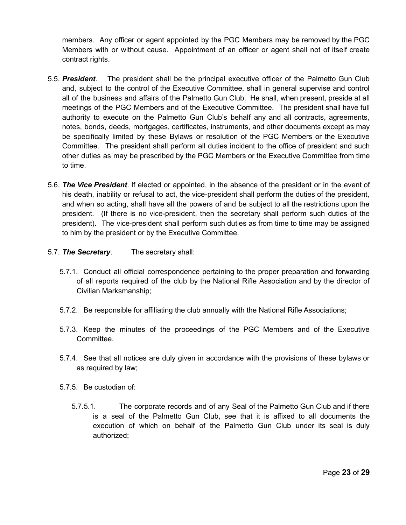members. Any officer or agent appointed by the PGC Members may be removed by the PGC Members with or without cause. Appointment of an officer or agent shall not of itself create contract rights.

- 5.5. *President*. The president shall be the principal executive officer of the Palmetto Gun Club and, subject to the control of the Executive Committee, shall in general supervise and control all of the business and affairs of the Palmetto Gun Club. He shall, when present, preside at all meetings of the PGC Members and of the Executive Committee. The president shall have full authority to execute on the Palmetto Gun Club's behalf any and all contracts, agreements, notes, bonds, deeds, mortgages, certificates, instruments, and other documents except as may be specifically limited by these Bylaws or resolution of the PGC Members or the Executive Committee. The president shall perform all duties incident to the office of president and such other duties as may be prescribed by the PGC Members or the Executive Committee from time to time.
- 5.6. *The Vice President*. If elected or appointed, in the absence of the president or in the event of his death, inability or refusal to act, the vice-president shall perform the duties of the president, and when so acting, shall have all the powers of and be subject to all the restrictions upon the president. (If there is no vice-president, then the secretary shall perform such duties of the president). The vice-president shall perform such duties as from time to time may be assigned to him by the president or by the Executive Committee.
- 5.7. *The Secretary*. The secretary shall:
	- 5.7.1. Conduct all official correspondence pertaining to the proper preparation and forwarding of all reports required of the club by the National Rifle Association and by the director of Civilian Marksmanship;
	- 5.7.2. Be responsible for affiliating the club annually with the National Rifle Associations;
	- 5.7.3. Keep the minutes of the proceedings of the PGC Members and of the Executive Committee.
	- 5.7.4. See that all notices are duly given in accordance with the provisions of these bylaws or as required by law;
	- 5.7.5. Be custodian of:
		- 5.7.5.1. The corporate records and of any Seal of the Palmetto Gun Club and if there is a seal of the Palmetto Gun Club, see that it is affixed to all documents the execution of which on behalf of the Palmetto Gun Club under its seal is duly authorized;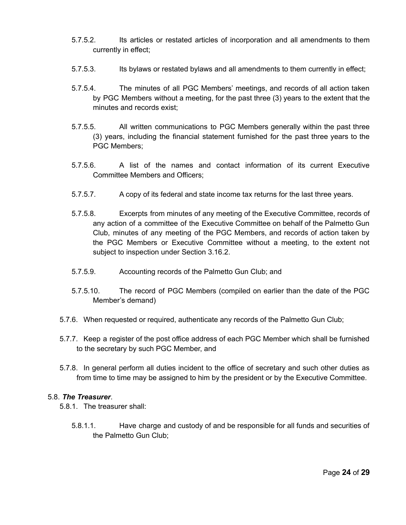- 5.7.5.2. Its articles or restated articles of incorporation and all amendments to them currently in effect;
- 5.7.5.3. Its bylaws or restated bylaws and all amendments to them currently in effect;
- 5.7.5.4. The minutes of all PGC Members' meetings, and records of all action taken by PGC Members without a meeting, for the past three (3) years to the extent that the minutes and records exist;
- 5.7.5.5. All written communications to PGC Members generally within the past three (3) years, including the financial statement furnished for the past three years to the PGC Members;
- 5.7.5.6. A list of the names and contact information of its current Executive Committee Members and Officers;
- 5.7.5.7. A copy of its federal and state income tax returns for the last three years.
- 5.7.5.8. Excerpts from minutes of any meeting of the Executive Committee, records of any action of a committee of the Executive Committee on behalf of the Palmetto Gun Club, minutes of any meeting of the PGC Members, and records of action taken by the PGC Members or Executive Committee without a meeting, to the extent not subject to inspection under Section 3.16.2.
- 5.7.5.9. Accounting records of the Palmetto Gun Club; and
- 5.7.5.10. The record of PGC Members (compiled on earlier than the date of the PGC Member's demand)
- 5.7.6. When requested or required, authenticate any records of the Palmetto Gun Club;
- 5.7.7. Keep a register of the post office address of each PGC Member which shall be furnished to the secretary by such PGC Member, and
- 5.7.8. In general perform all duties incident to the office of secretary and such other duties as from time to time may be assigned to him by the president or by the Executive Committee.

#### 5.8. *The Treasurer*.

- 5.8.1. The treasurer shall:
	- 5.8.1.1. Have charge and custody of and be responsible for all funds and securities of the Palmetto Gun Club;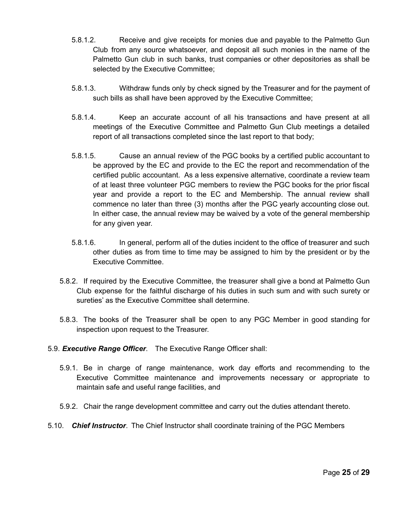- 5.8.1.2. Receive and give receipts for monies due and payable to the Palmetto Gun Club from any source whatsoever, and deposit all such monies in the name of the Palmetto Gun club in such banks, trust companies or other depositories as shall be selected by the Executive Committee;
- 5.8.1.3. Withdraw funds only by check signed by the Treasurer and for the payment of such bills as shall have been approved by the Executive Committee;
- 5.8.1.4. Keep an accurate account of all his transactions and have present at all meetings of the Executive Committee and Palmetto Gun Club meetings a detailed report of all transactions completed since the last report to that body;
- 5.8.1.5. Cause an annual review of the PGC books by a certified public accountant to be approved by the EC and provide to the EC the report and recommendation of the certified public accountant. As a less expensive alternative, coordinate a review team of at least three volunteer PGC members to review the PGC books for the prior fiscal year and provide a report to the EC and Membership. The annual review shall commence no later than three (3) months after the PGC yearly accounting close out. In either case, the annual review may be waived by a vote of the general membership for any given year.
- 5.8.1.6. In general, perform all of the duties incident to the office of treasurer and such other duties as from time to time may be assigned to him by the president or by the Executive Committee.
- 5.8.2. If required by the Executive Committee, the treasurer shall give a bond at Palmetto Gun Club expense for the faithful discharge of his duties in such sum and with such surety or sureties' as the Executive Committee shall determine.
- 5.8.3. The books of the Treasurer shall be open to any PGC Member in good standing for inspection upon request to the Treasurer.
- 5.9. *Executive Range Officer*. The Executive Range Officer shall:
	- 5.9.1. Be in charge of range maintenance, work day efforts and recommending to the Executive Committee maintenance and improvements necessary or appropriate to maintain safe and useful range facilities, and
	- 5.9.2. Chair the range development committee and carry out the duties attendant thereto.
- 5.10. *Chief Instructor*. The Chief Instructor shall coordinate training of the PGC Members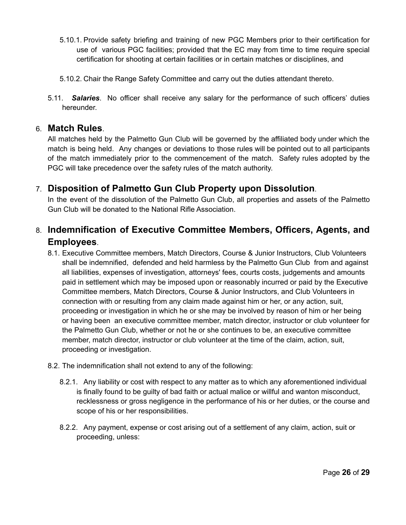- 5.10.1. Provide safety briefing and training of new PGC Members prior to their certification for use of various PGC facilities; provided that the EC may from time to time require special certification for shooting at certain facilities or in certain matches or disciplines, and
- 5.10.2. Chair the Range Safety Committee and carry out the duties attendant thereto.
- 5.11. *Salaries*. No officer shall receive any salary for the performance of such officers' duties hereunder.

## 6. **Match Rules**.

All matches held by the Palmetto Gun Club will be governed by the affiliated body under which the match is being held. Any changes or deviations to those rules will be pointed out to all participants of the match immediately prior to the commencement of the match. Safety rules adopted by the PGC will take precedence over the safety rules of the match authority.

## 7. **Disposition of Palmetto Gun Club Property upon Dissolution**.

In the event of the dissolution of the Palmetto Gun Club, all properties and assets of the Palmetto Gun Club will be donated to the National Rifle Association.

## 8. **Indemnification of Executive Committee Members, Officers, Agents, and Employees**.

- 8.1. Executive Committee members, Match Directors, Course & Junior Instructors, Club Volunteers shall be indemnified, defended and held harmless by the Palmetto Gun Club from and against all liabilities, expenses of investigation, attorneys' fees, courts costs, judgements and amounts paid in settlement which may be imposed upon or reasonably incurred or paid by the Executive Committee members, Match Directors, Course & Junior Instructors, and Club Volunteers in connection with or resulting from any claim made against him or her, or any action, suit, proceeding or investigation in which he or she may be involved by reason of him or her being or having been an executive committee member, match director, instructor or club volunteer for the Palmetto Gun Club, whether or not he or she continues to be, an executive committee member, match director, instructor or club volunteer at the time of the claim, action, suit, proceeding or investigation.
- 8.2. The indemnification shall not extend to any of the following:
	- 8.2.1. Any liability or cost with respect to any matter as to which any aforementioned individual is finally found to be guilty of bad faith or actual malice or willful and wanton misconduct, recklessness or gross negligence in the performance of his or her duties, or the course and scope of his or her responsibilities.
	- 8.2.2. Any payment, expense or cost arising out of a settlement of any claim, action, suit or proceeding, unless: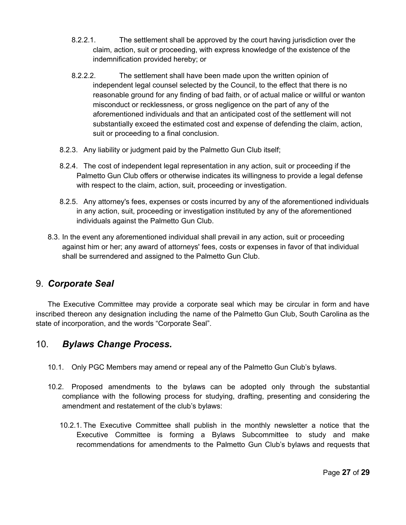- 8.2.2.1. The settlement shall be approved by the court having jurisdiction over the claim, action, suit or proceeding, with express knowledge of the existence of the indemnification provided hereby; or
- 8.2.2.2. The settlement shall have been made upon the written opinion of independent legal counsel selected by the Council, to the effect that there is no reasonable ground for any finding of bad faith, or of actual malice or willful or wanton misconduct or recklessness, or gross negligence on the part of any of the aforementioned individuals and that an anticipated cost of the settlement will not substantially exceed the estimated cost and expense of defending the claim, action, suit or proceeding to a final conclusion.
- 8.2.3. Any liability or judgment paid by the Palmetto Gun Club itself;
- 8.2.4. The cost of independent legal representation in any action, suit or proceeding if the Palmetto Gun Club offers or otherwise indicates its willingness to provide a legal defense with respect to the claim, action, suit, proceeding or investigation.
- 8.2.5. Any attorney's fees, expenses or costs incurred by any of the aforementioned individuals in any action, suit, proceeding or investigation instituted by any of the aforementioned individuals against the Palmetto Gun Club.
- 8.3. In the event any aforementioned individual shall prevail in any action, suit or proceeding against him or her; any award of attorneys' fees, costs or expenses in favor of that individual shall be surrendered and assigned to the Palmetto Gun Club.

## 9. *Corporate Seal*

The Executive Committee may provide a corporate seal which may be circular in form and have inscribed thereon any designation including the name of the Palmetto Gun Club, South Carolina as the state of incorporation, and the words "Corporate Seal".

## 10. *Bylaws Change Process.*

- 10.1. Only PGC Members may amend or repeal any of the Palmetto Gun Club's bylaws.
- 10.2. Proposed amendments to the bylaws can be adopted only through the substantial compliance with the following process for studying, drafting, presenting and considering the amendment and restatement of the club's bylaws:
	- 10.2.1. The Executive Committee shall publish in the monthly newsletter a notice that the Executive Committee is forming a Bylaws Subcommittee to study and make recommendations for amendments to the Palmetto Gun Club's bylaws and requests that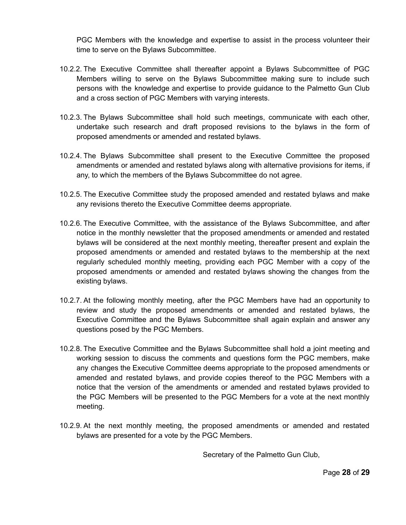PGC Members with the knowledge and expertise to assist in the process volunteer their time to serve on the Bylaws Subcommittee.

- 10.2.2. The Executive Committee shall thereafter appoint a Bylaws Subcommittee of PGC Members willing to serve on the Bylaws Subcommittee making sure to include such persons with the knowledge and expertise to provide guidance to the Palmetto Gun Club and a cross section of PGC Members with varying interests.
- 10.2.3. The Bylaws Subcommittee shall hold such meetings, communicate with each other, undertake such research and draft proposed revisions to the bylaws in the form of proposed amendments or amended and restated bylaws.
- 10.2.4. The Bylaws Subcommittee shall present to the Executive Committee the proposed amendments or amended and restated bylaws along with alternative provisions for items, if any, to which the members of the Bylaws Subcommittee do not agree.
- 10.2.5. The Executive Committee study the proposed amended and restated bylaws and make any revisions thereto the Executive Committee deems appropriate.
- 10.2.6. The Executive Committee, with the assistance of the Bylaws Subcommittee, and after notice in the monthly newsletter that the proposed amendments or amended and restated bylaws will be considered at the next monthly meeting, thereafter present and explain the proposed amendments or amended and restated bylaws to the membership at the next regularly scheduled monthly meeting, providing each PGC Member with a copy of the proposed amendments or amended and restated bylaws showing the changes from the existing bylaws.
- 10.2.7. At the following monthly meeting, after the PGC Members have had an opportunity to review and study the proposed amendments or amended and restated bylaws, the Executive Committee and the Bylaws Subcommittee shall again explain and answer any questions posed by the PGC Members.
- 10.2.8. The Executive Committee and the Bylaws Subcommittee shall hold a joint meeting and working session to discuss the comments and questions form the PGC members, make any changes the Executive Committee deems appropriate to the proposed amendments or amended and restated bylaws, and provide copies thereof to the PGC Members with a notice that the version of the amendments or amended and restated bylaws provided to the PGC Members will be presented to the PGC Members for a vote at the next monthly meeting.
- 10.2.9. At the next monthly meeting, the proposed amendments or amended and restated bylaws are presented for a vote by the PGC Members.

Secretary of the Palmetto Gun Club,